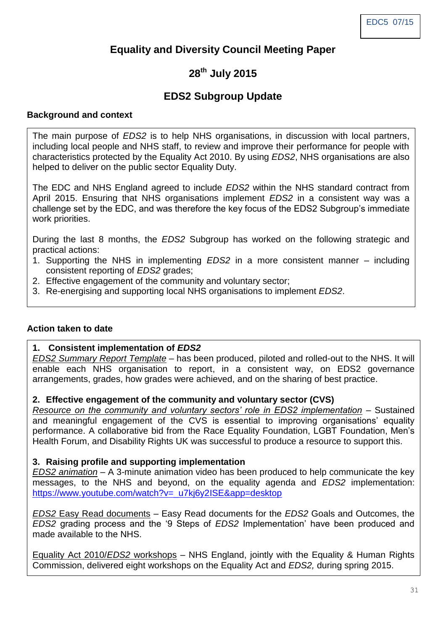# **Equality and Diversity Council Meeting Paper**

# **28th July 2015**

# **EDS2 Subgroup Update**

#### **Background and context**

The main purpose of *EDS2* is to help NHS organisations, in discussion with local partners, including local people and NHS staff, to review and improve their performance for people with characteristics protected by the Equality Act 2010. By using *EDS2*, NHS organisations are also helped to deliver on the public sector Equality Duty.

The EDC and NHS England agreed to include *EDS2* within the NHS standard contract from April 2015. Ensuring that NHS organisations implement *EDS2* in a consistent way was a challenge set by the EDC, and was therefore the key focus of the EDS2 Subgroup's immediate work priorities.

During the last 8 months, the *EDS2* Subgroup has worked on the following strategic and practical actions:

- 1. Supporting the NHS in implementing *EDS2* in a more consistent manner including consistent reporting of *EDS2* grades;
- 2. Effective engagement of the community and voluntary sector;
- 3. Re-energising and supporting local NHS organisations to implement *EDS2*.

#### **Action taken to date**

#### **1. Consistent implementation of** *EDS2*

*EDS2 Summary Report Template* – has been produced, piloted and rolled-out to the NHS. It will enable each NHS organisation to report, in a consistent way, on EDS2 governance arrangements, grades, how grades were achieved, and on the sharing of best practice.

#### **2. Effective engagement of the community and voluntary sector (CVS)**

*Resource on the community and voluntary sectors' role in EDS2 implementation* – Sustained and meaningful engagement of the CVS is essential to improving organisations' equality performance. A collaborative bid from the Race Equality Foundation, LGBT Foundation, Men's Health Forum, and Disability Rights UK was successful to produce a resource to support this.

#### **3. Raising profile and supporting implementation**

*EDS2 animation* – A 3-minute animation video has been produced to help communicate the key messages, to the NHS and beyond, on the equality agenda and *EDS2* implementation: [https://www.youtube.com/watch?v=\\_u7kj6y2ISE&app=desktop](https://www.youtube.com/watch?v=_u7kj6y2ISE&app=desktop)

*EDS2* Easy Read documents – Easy Read documents for the *EDS2* Goals and Outcomes, the *EDS2* grading process and the '9 Steps of *EDS2* Implementation' have been produced and made available to the NHS.

Equality Act 2010/*EDS2* workshops – NHS England, jointly with the Equality & Human Rights Commission, delivered eight workshops on the Equality Act and *EDS2,* during spring 2015.